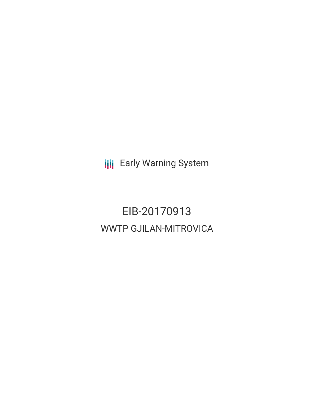**III** Early Warning System

# EIB-20170913 WWTP GJILAN-MITROVICA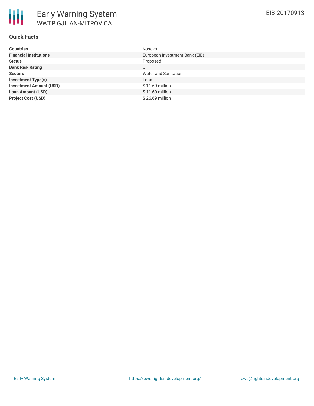# **Quick Facts**

| <b>Countries</b>               | Kosovo                         |
|--------------------------------|--------------------------------|
| <b>Financial Institutions</b>  | European Investment Bank (EIB) |
| <b>Status</b>                  | Proposed                       |
| <b>Bank Risk Rating</b>        | U                              |
| <b>Sectors</b>                 | Water and Sanitation           |
| <b>Investment Type(s)</b>      | Loan                           |
| <b>Investment Amount (USD)</b> | $$11.60$ million               |
| <b>Loan Amount (USD)</b>       | $$11.60$ million               |
| <b>Project Cost (USD)</b>      | \$26.69 million                |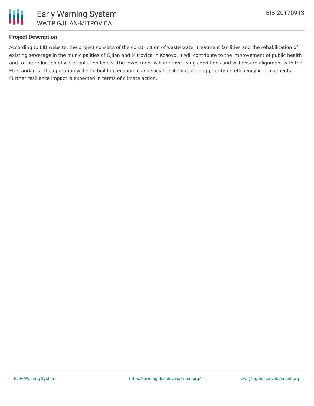

# **Project Description**

According to EIB website, the project consists of the construction of waste water treatment facilities and the rehabilitation of existing sewerage in the municipalities of Gjilan and Mitrovica in Kosovo. It will contribute to the improvement of public health and to the reduction of water pollution levels. The investment will improve living conditions and will ensure alignment with the EU standards. The operation will help build up economic and social resilience, placing priority on efficiency improvements. Further resilience impact is expected in terms of climate action.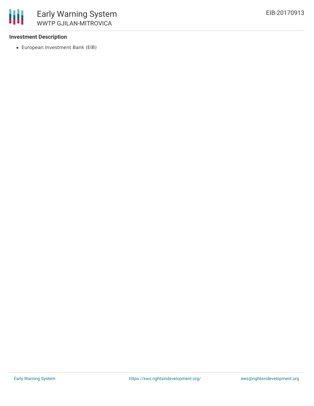# **Investment Description**

冊

European Investment Bank (EIB)